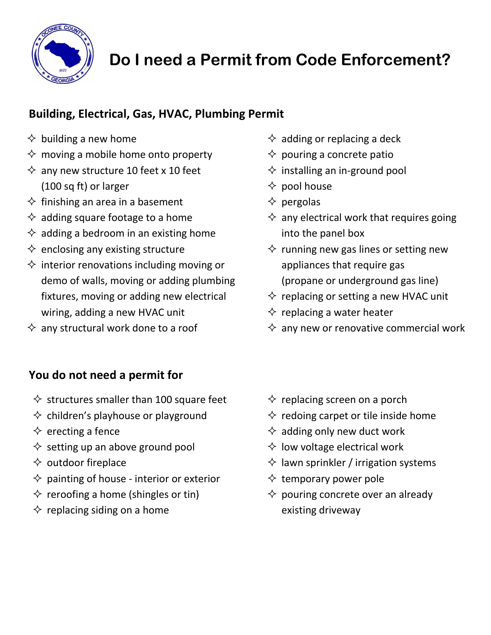

# **Do I need a Permit from Code Enforcement?**

## **Building, Electrical, Gas, HVAC, Plumbing Permit**

- $\diamond$  building a new home
- $\diamond$  moving a mobile home onto property
- $\Diamond$  any new structure 10 feet x 10 feet (100 sq ft) or larger
- $\diamond$  finishing an area in a basement
- $\Diamond$  adding square footage to a home
- $\Diamond$  adding a bedroom in an existing home
- $\Diamond$  enclosing any existing structure
- $\Diamond$  interior renovations including moving or demo of walls, moving or adding plumbing fixtures, moving or adding new electrical wiring, adding a new HVAC unit
- $\Diamond$  any structural work done to a roof
- $\Leftrightarrow$  adding or replacing a deck
- $\Diamond$  pouring a concrete patio
- $\Diamond$  installing an in-ground pool
- $\diamond$  pool house
- $\Diamond$  pergolas
- $\Diamond$  any electrical work that requires going into the panel box
- $\diamond$  running new gas lines or setting new appliances that require gas (propane or underground gas line)
- $\Diamond$  replacing or setting a new HVAC unit
- $\diamond$  replacing a water heater
- $\Diamond$  any new or renovative commercial work

## **You do not need a permit for**

- $\Diamond$  structures smaller than 100 square feet
- $\diamond$  children's playhouse or playground
- $\Diamond$  erecting a fence
- $\diamond$  setting up an above ground pool
- $\diamond$  outdoor fireplace
- $\Diamond$  painting of house interior or exterior
- $\diamond$  reroofing a home (shingles or tin)
- $\Diamond$  replacing siding on a home
- $\diamond$  replacing screen on a porch
- $\diamond$  redoing carpet or tile inside home
- $\Diamond$  adding only new duct work
- $\Diamond$  low voltage electrical work
- $\Diamond$  lawn sprinkler / irrigation systems
- $\diamond$  temporary power pole
- $\diamond$  pouring concrete over an already existing driveway